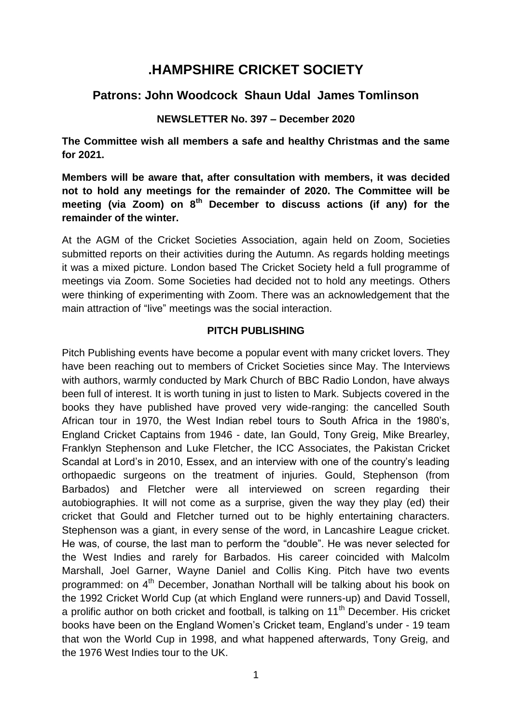# **.HAMPSHIRE CRICKET SOCIETY**

# **Patrons: John Woodcock Shaun Udal James Tomlinson**

## **NEWSLETTER No. 397 – December 2020**

**The Committee wish all members a safe and healthy Christmas and the same for 2021.** 

**Members will be aware that, after consultation with members, it was decided not to hold any meetings for the remainder of 2020. The Committee will be meeting (via Zoom) on 8th December to discuss actions (if any) for the remainder of the winter.** 

At the AGM of the Cricket Societies Association, again held on Zoom, Societies submitted reports on their activities during the Autumn. As regards holding meetings it was a mixed picture. London based The Cricket Society held a full programme of meetings via Zoom. Some Societies had decided not to hold any meetings. Others were thinking of experimenting with Zoom. There was an acknowledgement that the main attraction of "live" meetings was the social interaction.

### **PITCH PUBLISHING**

Pitch Publishing events have become a popular event with many cricket lovers. They have been reaching out to members of Cricket Societies since May. The Interviews with authors, warmly conducted by Mark Church of BBC Radio London, have always been full of interest. It is worth tuning in just to listen to Mark. Subjects covered in the books they have published have proved very wide-ranging: the cancelled South African tour in 1970, the West Indian rebel tours to South Africa in the 1980's, England Cricket Captains from 1946 - date, Ian Gould, Tony Greig, Mike Brearley, Franklyn Stephenson and Luke Fletcher, the ICC Associates, the Pakistan Cricket Scandal at Lord's in 2010, Essex, and an interview with one of the country's leading orthopaedic surgeons on the treatment of injuries. Gould, Stephenson (from Barbados) and Fletcher were all interviewed on screen regarding their autobiographies. It will not come as a surprise, given the way they play (ed) their cricket that Gould and Fletcher turned out to be highly entertaining characters. Stephenson was a giant, in every sense of the word, in Lancashire League cricket. He was, of course, the last man to perform the "double". He was never selected for the West Indies and rarely for Barbados. His career coincided with Malcolm Marshall, Joel Garner, Wayne Daniel and Collis King. Pitch have two events programmed: on 4<sup>th</sup> December, Jonathan Northall will be talking about his book on the 1992 Cricket World Cup (at which England were runners-up) and David Tossell, a prolific author on both cricket and football, is talking on 11<sup>th</sup> December. His cricket books have been on the England Women's Cricket team, England's under - 19 team that won the World Cup in 1998, and what happened afterwards, Tony Greig, and the 1976 West Indies tour to the UK.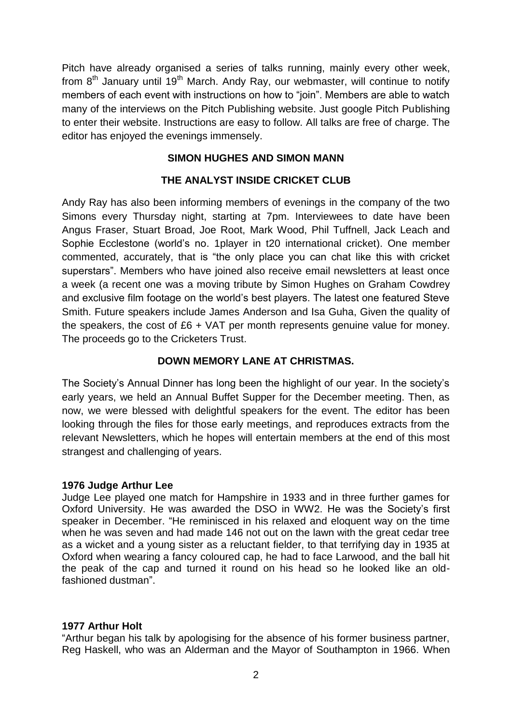Pitch have already organised a series of talks running, mainly every other week, from  $8<sup>th</sup>$  January until 19<sup>th</sup> March. Andy Ray, our webmaster, will continue to notify members of each event with instructions on how to "join". Members are able to watch many of the interviews on the Pitch Publishing website. Just google Pitch Publishing to enter their website. Instructions are easy to follow. All talks are free of charge. The editor has enjoyed the evenings immensely.

# **SIMON HUGHES AND SIMON MANN**

# **THE ANALYST INSIDE CRICKET CLUB**

Andy Ray has also been informing members of evenings in the company of the two Simons every Thursday night, starting at 7pm. Interviewees to date have been Angus Fraser, Stuart Broad, Joe Root, Mark Wood, Phil Tuffnell, Jack Leach and Sophie Ecclestone (world's no. 1player in t20 international cricket). One member commented, accurately, that is "the only place you can chat like this with cricket superstars". Members who have joined also receive email newsletters at least once a week (a recent one was a moving tribute by Simon Hughes on Graham Cowdrey and exclusive film footage on the world's best players. The latest one featured Steve Smith. Future speakers include James Anderson and Isa Guha, Given the quality of the speakers, the cost of £6 + VAT per month represents genuine value for money. The proceeds go to the Cricketers Trust.

# **DOWN MEMORY LANE AT CHRISTMAS.**

The Society's Annual Dinner has long been the highlight of our year. In the society's early years, we held an Annual Buffet Supper for the December meeting. Then, as now, we were blessed with delightful speakers for the event. The editor has been looking through the files for those early meetings, and reproduces extracts from the relevant Newsletters, which he hopes will entertain members at the end of this most strangest and challenging of years.

### **1976 Judge Arthur Lee**

Judge Lee played one match for Hampshire in 1933 and in three further games for Oxford University. He was awarded the DSO in WW2. He was the Society's first speaker in December. "He reminisced in his relaxed and eloquent way on the time when he was seven and had made 146 not out on the lawn with the great cedar tree as a wicket and a young sister as a reluctant fielder, to that terrifying day in 1935 at Oxford when wearing a fancy coloured cap, he had to face Larwood, and the ball hit the peak of the cap and turned it round on his head so he looked like an oldfashioned dustman".

### **1977 Arthur Holt**

"Arthur began his talk by apologising for the absence of his former business partner, Reg Haskell, who was an Alderman and the Mayor of Southampton in 1966. When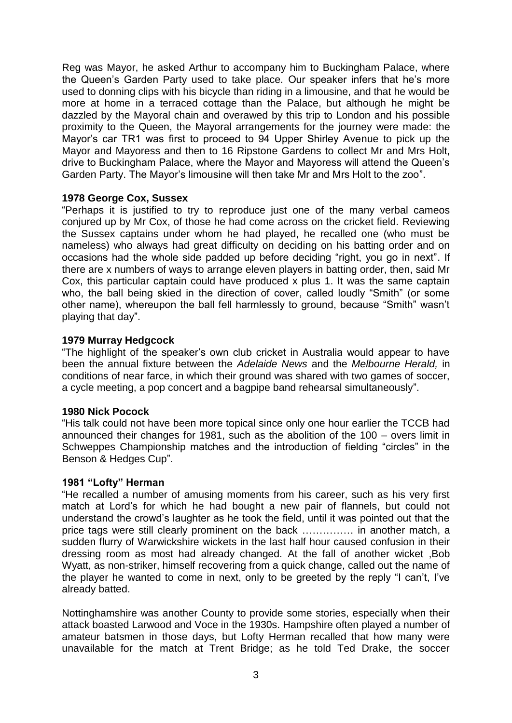Reg was Mayor, he asked Arthur to accompany him to Buckingham Palace, where the Queen's Garden Party used to take place. Our speaker infers that he's more used to donning clips with his bicycle than riding in a limousine, and that he would be more at home in a terraced cottage than the Palace, but although he might be dazzled by the Mayoral chain and overawed by this trip to London and his possible proximity to the Queen, the Mayoral arrangements for the journey were made: the Mayor's car TR1 was first to proceed to 94 Upper Shirley Avenue to pick up the Mayor and Mayoress and then to 16 Ripstone Gardens to collect Mr and Mrs Holt, drive to Buckingham Palace, where the Mayor and Mayoress will attend the Queen's Garden Party. The Mayor's limousine will then take Mr and Mrs Holt to the zoo".

#### **1978 George Cox, Sussex**

"Perhaps it is justified to try to reproduce just one of the many verbal cameos conjured up by Mr Cox, of those he had come across on the cricket field. Reviewing the Sussex captains under whom he had played, he recalled one (who must be nameless) who always had great difficulty on deciding on his batting order and on occasions had the whole side padded up before deciding "right, you go in next". If there are x numbers of ways to arrange eleven players in batting order, then, said Mr Cox, this particular captain could have produced x plus 1. It was the same captain who, the ball being skied in the direction of cover, called loudly "Smith" (or some other name), whereupon the ball fell harmlessly to ground, because "Smith" wasn't playing that day".

#### **1979 Murray Hedgcock**

"The highlight of the speaker's own club cricket in Australia would appear to have been the annual fixture between the *Adelaide News* and the *Melbourne Herald,* in conditions of near farce, in which their ground was shared with two games of soccer, a cycle meeting, a pop concert and a bagpipe band rehearsal simultaneously".

#### **1980 Nick Pocock**

"His talk could not have been more topical since only one hour earlier the TCCB had announced their changes for 1981, such as the abolition of the 100 – overs limit in Schweppes Championship matches and the introduction of fielding "circles" in the Benson & Hedges Cup".

#### **1981 "Lofty" Herman**

"He recalled a number of amusing moments from his career, such as his very first match at Lord's for which he had bought a new pair of flannels, but could not understand the crowd's laughter as he took the field, until it was pointed out that the price tags were still clearly prominent on the back …………… in another match, a sudden flurry of Warwickshire wickets in the last half hour caused confusion in their dressing room as most had already changed. At the fall of another wicket ,Bob Wyatt, as non-striker, himself recovering from a quick change, called out the name of the player he wanted to come in next, only to be greeted by the reply "I can't, I've already batted.

Nottinghamshire was another County to provide some stories, especially when their attack boasted Larwood and Voce in the 1930s. Hampshire often played a number of amateur batsmen in those days, but Lofty Herman recalled that how many were unavailable for the match at Trent Bridge; as he told Ted Drake, the soccer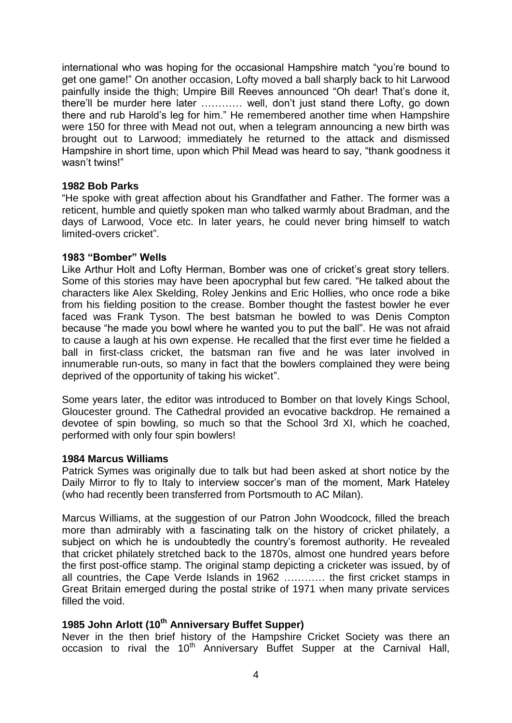international who was hoping for the occasional Hampshire match "you're bound to get one game!" On another occasion, Lofty moved a ball sharply back to hit Larwood painfully inside the thigh; Umpire Bill Reeves announced "Oh dear! That's done it, there'll be murder here later ………… well, don't just stand there Lofty, go down there and rub Harold's leg for him." He remembered another time when Hampshire were 150 for three with Mead not out, when a telegram announcing a new birth was brought out to Larwood; immediately he returned to the attack and dismissed Hampshire in short time, upon which Phil Mead was heard to say, "thank goodness it wasn't twins!"

#### **1982 Bob Parks**

"He spoke with great affection about his Grandfather and Father. The former was a reticent, humble and quietly spoken man who talked warmly about Bradman, and the days of Larwood, Voce etc. In later years, he could never bring himself to watch limited-overs cricket".

#### **1983 "Bomber" Wells**

Like Arthur Holt and Lofty Herman, Bomber was one of cricket's great story tellers. Some of this stories may have been apocryphal but few cared. "He talked about the characters like Alex Skelding, Roley Jenkins and Eric Hollies, who once rode a bike from his fielding position to the crease. Bomber thought the fastest bowler he ever faced was Frank Tyson. The best batsman he bowled to was Denis Compton because "he made you bowl where he wanted you to put the ball". He was not afraid to cause a laugh at his own expense. He recalled that the first ever time he fielded a ball in first-class cricket, the batsman ran five and he was later involved in innumerable run-outs, so many in fact that the bowlers complained they were being deprived of the opportunity of taking his wicket".

Some years later, the editor was introduced to Bomber on that lovely Kings School, Gloucester ground. The Cathedral provided an evocative backdrop. He remained a devotee of spin bowling, so much so that the School 3rd XI, which he coached, performed with only four spin bowlers!

#### **1984 Marcus Williams**

Patrick Symes was originally due to talk but had been asked at short notice by the Daily Mirror to fly to Italy to interview soccer's man of the moment, Mark Hateley (who had recently been transferred from Portsmouth to AC Milan).

Marcus Williams, at the suggestion of our Patron John Woodcock, filled the breach more than admirably with a fascinating talk on the history of cricket philately, a subject on which he is undoubtedly the country's foremost authority. He revealed that cricket philately stretched back to the 1870s, almost one hundred years before the first post-office stamp. The original stamp depicting a cricketer was issued, by of all countries, the Cape Verde Islands in 1962 ………… the first cricket stamps in Great Britain emerged during the postal strike of 1971 when many private services filled the void.

### **1985 John Arlott (10th Anniversary Buffet Supper)**

Never in the then brief history of the Hampshire Cricket Society was there an occasion to rival the 10<sup>th</sup> Anniversary Buffet Supper at the Carnival Hall,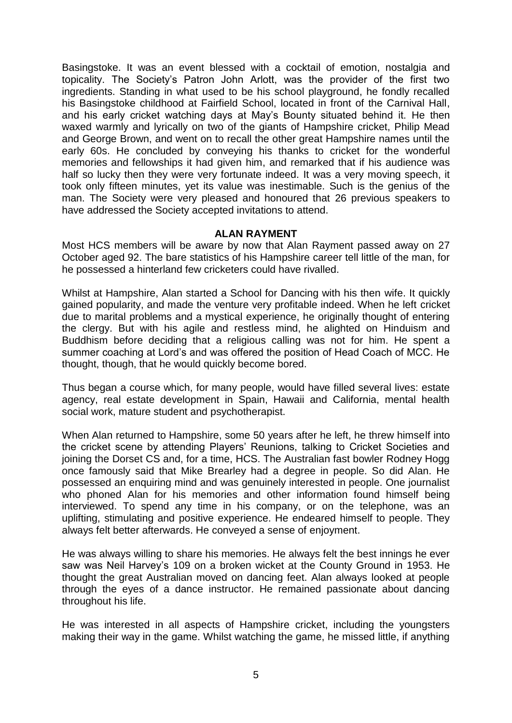Basingstoke. It was an event blessed with a cocktail of emotion, nostalgia and topicality. The Society's Patron John Arlott, was the provider of the first two ingredients. Standing in what used to be his school playground, he fondly recalled his Basingstoke childhood at Fairfield School, located in front of the Carnival Hall, and his early cricket watching days at May's Bounty situated behind it. He then waxed warmly and lyrically on two of the giants of Hampshire cricket, Philip Mead and George Brown, and went on to recall the other great Hampshire names until the early 60s. He concluded by conveying his thanks to cricket for the wonderful memories and fellowships it had given him, and remarked that if his audience was half so lucky then they were very fortunate indeed. It was a very moving speech, it took only fifteen minutes, yet its value was inestimable. Such is the genius of the man. The Society were very pleased and honoured that 26 previous speakers to have addressed the Society accepted invitations to attend.

#### **ALAN RAYMENT**

Most HCS members will be aware by now that Alan Rayment passed away on 27 October aged 92. The bare statistics of his Hampshire career tell little of the man, for he possessed a hinterland few cricketers could have rivalled.

Whilst at Hampshire, Alan started a School for Dancing with his then wife. It quickly gained popularity, and made the venture very profitable indeed. When he left cricket due to marital problems and a mystical experience, he originally thought of entering the clergy. But with his agile and restless mind, he alighted on Hinduism and Buddhism before deciding that a religious calling was not for him. He spent a summer coaching at Lord's and was offered the position of Head Coach of MCC. He thought, though, that he would quickly become bored.

Thus began a course which, for many people, would have filled several lives: estate agency, real estate development in Spain, Hawaii and California, mental health social work, mature student and psychotherapist.

When Alan returned to Hampshire, some 50 years after he left, he threw himself into the cricket scene by attending Players' Reunions, talking to Cricket Societies and joining the Dorset CS and, for a time, HCS. The Australian fast bowler Rodney Hogg once famously said that Mike Brearley had a degree in people. So did Alan. He possessed an enquiring mind and was genuinely interested in people. One journalist who phoned Alan for his memories and other information found himself being interviewed. To spend any time in his company, or on the telephone, was an uplifting, stimulating and positive experience. He endeared himself to people. They always felt better afterwards. He conveyed a sense of enjoyment.

He was always willing to share his memories. He always felt the best innings he ever saw was Neil Harvey's 109 on a broken wicket at the County Ground in 1953. He thought the great Australian moved on dancing feet. Alan always looked at people through the eyes of a dance instructor. He remained passionate about dancing throughout his life.

He was interested in all aspects of Hampshire cricket, including the youngsters making their way in the game. Whilst watching the game, he missed little, if anything